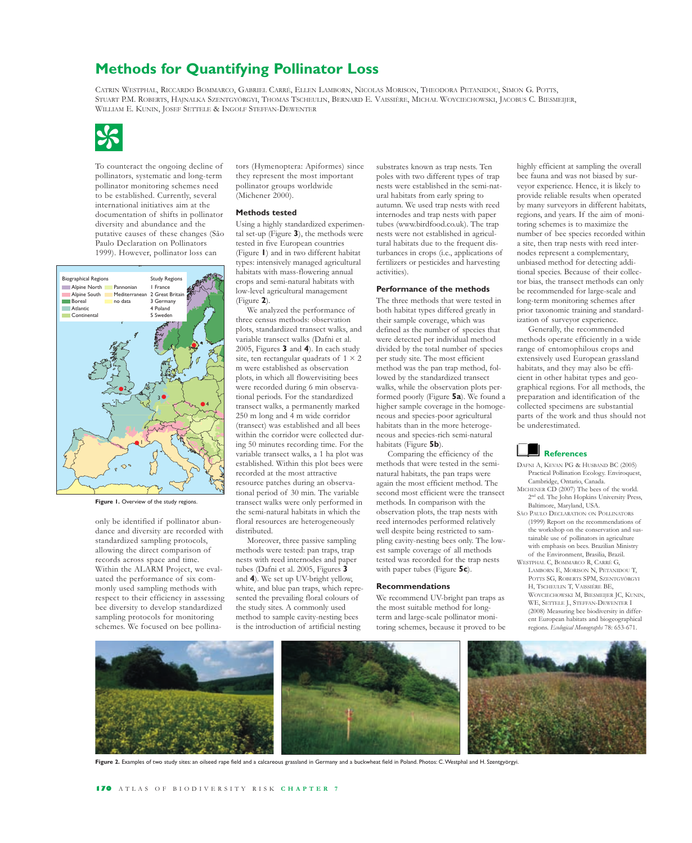# **Methods for Quantifying Pollinator Loss**

CATRIN WESTPHAL, RICCARDO BOMMARCO, GABRIEL CARRÉ, ELLEN LAMBORN, NICOLAS MORISON, THEODORA PETANIDOU, SIMON G. POTTS, STUART P.M. ROBERTS, HAJNALKA SZENTGYÖRGYI, THOMAS TSCHEULIN, BERNARD E. VAISSIÈRE, MICHAŁ WOYCIECHOWSKI, JACOBUS C. BIESMEIJER, STOART F.M. ROBERTS, TRIJNALKA SZENTGYORGYT, THOMAS TSCHEL<br>WILLIAM E. KUNIN, JOSEF SETTELE & INGOLF STEFFAN-DEWENTER



To counteract the ongoing decline of pollinators, systematic and long-term pollinator monitoring schemes need to be established. Currently, several international initiatives aim at the documentation of shifts in pollinator diversity and abundance and the putative causes of these changes (São Paulo Declaration on Pollinators 1999). However, pollinator loss can



Figure 1. Overview of the study regions.

only be identified if pollinator abundance and diversity are recorded with standardized sampling protocols, allowing the direct comparison of records across space and time. Within the ALARM Project, we evaluated the performance of six commonly used sampling methods with respect to their efficiency in assessing bee diversity to develop standardized sampling protocols for monitoring schemes. We focused on bee pollinators (Hymenoptera: Apiformes) since they represent the most important pollinator groups worldwide (Michener 2000).

#### **Methods tested**

Using a highly standardized experimental set-up (Figure **3**), the methods were tested in five European countries (Figure **1**) and in two different habitat types: intensively managed agricultural habitats with mass-flowering annual crops and semi-natural habitats with low-level agricultural management (Figure **2**).

We analyzed the performance of three census methods: observation plots, standardized transect walks, and variable transect walks (Dafni et al. 2005, Figures **3** and **4**). In each study site, ten rectangular quadrats of  $1 \times 2$ m were established as observation plots, in which all flower visiting bees were recorded during 6 min observational periods. For the standardized transect walks, a permanently marked 250 m long and 4 m wide corridor (transect) was established and all bees within the corridor were collected during 50 minutes recording time. For the variable transect walks, a 1 ha plot was established. Within this plot bees were recorded at the most attractive resource patches during an observational period of 30 min. The variable transect walks were only performed in the semi-natural habitats in which the floral resources are heterogeneously distributed.

Moreover, three passive sampling methods were tested: pan traps, trap nests with reed internodes and paper tubes (Dafni et al. 2005, Figures **3** and **4**). We set up UV-bright yellow, white, and blue pan traps, which represented the prevailing floral colours of the study sites. A commonly used method to sample cavity-nesting bees is the introduction of artificial nesting

substrates known as trap nests. Ten poles with two different types of trap nests were established in the semi-natural habitats from early spring to autumn. We used trap nests with reed internodes and trap nests with paper tubes (www.birdfood.co.uk). The trap nests were not established in agricultural habitats due to the frequent disturbances in crops (i.e., applications of fertilizers or pesticides and harvesting activities).

### **Performance of the methods**

The three methods that were tested in both habitat types differed greatly in their sample coverage, which was defined as the number of species that were detected per individual method divided by the total number of species per study site. The most efficient method was the pan trap method, followed by the standardized transect walks, while the observation plots performed poorly (Figure **5a**). We found a higher sample coverage in the homogeneous and species-poor agricultural habitats than in the more heterogeneous and species-rich semi-natural habitats (Figure **5b**).

Comparing the efficiency of the methods that were tested in the seminatural habitats, the pan traps were again the most efficient method. The second most efficient were the transect methods. In comparison with the observation plots, the trap nests with reed internodes performed relatively well despite being restricted to sampling cavity-nesting bees only. The lowest sample coverage of all methods tested was recorded for the trap nests with paper tubes (Figure **5c**).

#### **Recommendations**

We recommend UV-bright pan traps as the most suitable method for longterm and large-scale pollinator monitoring schemes, because it proved to be highly efficient at sampling the overall bee fauna and was not biased by surveyor experience. Hence, it is likely to provide reliable results when operated by many surveyors in different habitats, regions, and years. If the aim of monitoring schemes is to maximize the number of bee species recorded within a site, then trap nests with reed internodes represent a complementary, unbiased method for detecting additional species. Because of their collector bias, the transect methods can only be recommended for large-scale and long-term monitoring schemes after prior taxonomic training and standardization of surveyor experience.

Generally, the recommended methods operate efficiently in a wide range of entomophilous crops and extensively used European grassland habitats, and they may also be efficient in other habitat types and geographical regions. For all methods, the preparation and identification of the collected specimens are substantial parts of the work and thus should not be underestimated.

## **References**

- DAFNI A, KEVAN PG & HUSBAND BC (2005) Practical Pollination Ecology. Enviroquest, Cambridge, Ontario, Canada.
- MICHENER CD (2007) The bees of the world. 2nd ed. The John Hopkins University Press, Baltimore, Maryland, USA.
- SĂO PAULO DECLARATION ON POLLINATORS (1999) Report on the recommendations of the workshop on the conservation and sustainable use of pollinators in agriculture with emphasis on bees. Brazilian Ministry of the Environment, Brasilia, Brazil. WESTPHAL C, BOMMARCO R, CARRÉ G,
- LAMBORN E, MORISON N, PETANIDOU T, POTTS SG, ROBERTS SPM, SZENTGYÖRGYI H, TSCHEULIN T, VAISSIÉRE BE, WOYCIECHOWSKI M, BIESMEIJER JC, KUNIN, WE, SETTELE J., STEFFAN-DEWENTER I (2008) Measuring bee biodiversity in different European habitats and biogeographical regions. *Ecological Monographs* 78: 653-671.



**Figure 2.** Examples of two study sites: an oilseed rape field and a calcareous grassland in Germany and a buckwheat field in Poland. Photos: C. Westphal and H. Szentgyörgyi.